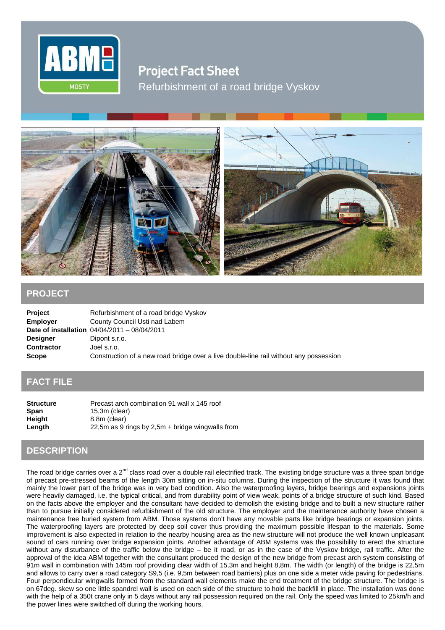

**Project Fact Sheet** Refurbishment of a road bridge Vyskov



## **PROJECT**

| <b>Project</b>    | Refurbishment of a road bridge Vyskov                                                 |
|-------------------|---------------------------------------------------------------------------------------|
| <b>Employer</b>   | County Council Usti nad Labem                                                         |
|                   | <b>Date of installation</b> $04/04/2011 - 08/04/2011$                                 |
| <b>Designer</b>   | Dipont s.r.o.                                                                         |
| <b>Contractor</b> | Joel s.r.o.                                                                           |
| <b>Scope</b>      | Construction of a new road bridge over a live double-line rail without any possession |

## **FACT FILE**

| <b>Structure</b> | Precast arch combination 91 wall x 145 roof        |
|------------------|----------------------------------------------------|
| <b>Span</b>      | $15.3m$ (clear)                                    |
| Height           | 8.8m (clear)                                       |
| Length           | 22,5m as 9 rings by 2,5m $+$ bridge wingwalls from |

## **DESCRIPTION**

The road bridge carries over a 2<sup>nd</sup> class road over a double rail electrified track. The existing bridge structure was a three span bridge of precast pre-stressed beams of the length 30m sitting on in-situ columns. During the inspection of the structure it was found that mainly the lower part of the bridge was in very bad condition. Also the waterproofing layers, bridge bearings and expansions joints were heavily damaged, i.e. the typical critical, and from durability point of view weak, points of a bridge structure of such kind. Based on the facts above the employer and the consultant have decided to demolish the existing bridge and to built a new structure rather than to pursue initially considered refurbishment of the old structure. The employer and the maintenance authority have chosen a maintenance free buried system from ABM. Those systems don't have any movable parts like bridge bearings or expansion joints. The waterproofing layers are protected by deep soil cover thus providing the maximum possible lifespan to the materials. Some improvement is also expected in relation to the nearby housing area as the new structure will not produce the well known unpleasant sound of cars running over bridge expansion joints. Another advantage of ABM systems was the possibility to erect the structure without any disturbance of the traffic below the bridge – be it road, or as in the case of the Vyskov bridge, rail traffic. After the approval of the idea ABM together with the consultant produced the design of the new bridge from precast arch system consisting of 91m wall in combination with 145m roof providing clear width of 15,3m and height 8,8m. The width (or length) of the bridge is 22,5m and allows to carry over a road category S9,5 (i.e. 9,5m between road barriers) plus on one side a meter wide paving for pedestrians. Four perpendicular wingwalls formed from the standard wall elements make the end treatment of the bridge structure. The bridge is on 67deg. skew so one little spandrel wall is used on each side of the structure to hold the backfill in place. The installation was done with the help of a 350t crane only in 5 days without any rail possession required on the rail. Only the speed was limited to 25km/h and the power lines were switched off during the working hours.